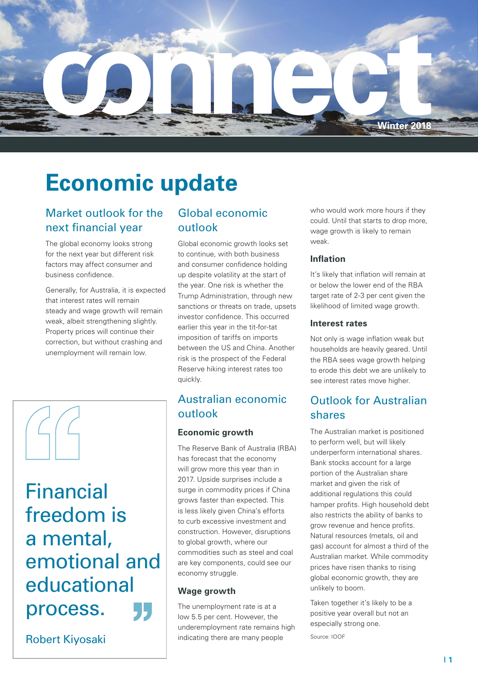

# **Economic update**

# Market outlook for the next financial year

The global economy looks strong for the next year but different risk factors may affect consumer and business confidence.

Generally, for Australia, it is expected that interest rates will remain steady and wage growth will remain weak, albeit strengthening slightly. Property prices will continue their correction, but without crashing and unemployment will remain low.



Financial freedom is a mental, emotional and educational process.

Robert Kiyosaki

# Global economic outlook

Global economic growth looks set to continue, with both business and consumer confidence holding up despite volatility at the start of the year. One risk is whether the Trump Administration, through new sanctions or threats on trade, upsets investor confidence. This occurred earlier this year in the tit-for-tat imposition of tariffs on imports between the US and China. Another risk is the prospect of the Federal Reserve hiking interest rates too quickly.

# Australian economic outlook

# **Economic growth**

The Reserve Bank of Australia (RBA) has forecast that the economy will grow more this year than in 2017. Upside surprises include a surge in commodity prices if China grows faster than expected. This is less likely given China's efforts to curb excessive investment and construction. However, disruptions to global growth, where our commodities such as steel and coal are key components, could see our economy struggle.

### **Wage growth**

The unemployment rate is at a low 5.5 per cent. However, the underemployment rate remains high indicating there are many people

who would work more hours if they could. Until that starts to drop more, wage growth is likely to remain weak.

# **Inflation**

It's likely that inflation will remain at or below the lower end of the RBA target rate of 2-3 per cent given the likelihood of limited wage growth.

# **Interest rates**

Not only is wage inflation weak but households are heavily geared. Until the RBA sees wage growth helping to erode this debt we are unlikely to see interest rates move higher.

# Outlook for Australian shares

The Australian market is positioned to perform well, but will likely underperform international shares. Bank stocks account for a large portion of the Australian share market and given the risk of additional regulations this could hamper profits. High household debt also restricts the ability of banks to grow revenue and hence profits. Natural resources (metals, oil and gas) account for almost a third of the Australian market. While commodity prices have risen thanks to rising global economic growth, they are unlikely to boom.

Taken together it's likely to be a positive year overall but not an especially strong one.

Source: IOOF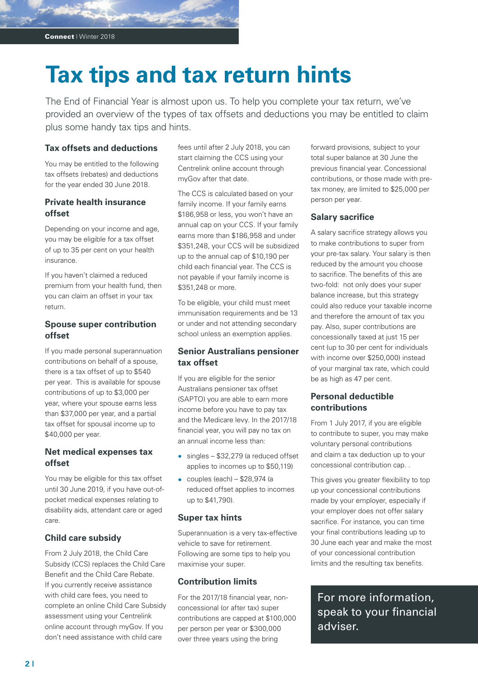# **Tax tips and tax return hints**

The End of Financial Year is almost upon us. To help you complete your tax return, we've provided an overview of the types of tax offsets and deductions you may be entitled to claim plus some handy tax tips and hints.

#### **Tax offsets and deductions**

You may be entitled to the following tax offsets (rebates) and deductions for the year ended 30 June 2018.

# **Private health insurance offset**

Depending on your income and age, you may be eligible for a tax offset of up to 35 per cent on your health insurance.

If you haven't claimed a reduced premium from your health fund, then you can claim an offset in your tax return.

## **Spouse super contribution offset**

If you made personal superannuation contributions on behalf of a spouse, there is a tax offset of up to \$540 per year. This is available for spouse contributions of up to \$3,000 per year, where your spouse earns less than \$37,000 per year, and a partial tax offset for spousal income up to \$40,000 per year.

# **Net medical expenses tax offset**

You may be eligible for this tax offset until 30 June 2019, if you have out-ofpocket medical expenses relating to disability aids, attendant care or aged care.

# **Child care subsidy**

From 2 July 2018, the Child Care Subsidy (CCS) replaces the Child Care Benefit and the Child Care Rebate. If you currently receive assistance with child care fees, you need to complete an online Child Care Subsidy assessment using your Centrelink online account through myGov. If you don't need assistance with child care

fees until after 2 July 2018, you can start claiming the CCS using your Centrelink online account through myGov after that date.

The CCS is calculated based on your family income. If your family earns \$186,958 or less, you won't have an annual cap on your CCS. If your family earns more than \$186,958 and under \$351,248, your CCS will be subsidized up to the annual cap of \$10,190 per child each financial year. The CCS is not payable if your family income is \$351,248 or more.

To be eligible, your child must meet immunisation requirements and be 13 or under and not attending secondary school unless an exemption applies.

## **Senior Australians pensioner tax offset**

If you are eligible for the senior Australians pensioner tax offset (SAPTO) you are able to earn more income before you have to pay tax and the Medicare levy. In the 2017/18 financial year, you will pay no tax on an annual income less than:

- **•** singles \$32,279 (a reduced offset applies to incomes up to \$50,119)
- **•** couples (each) \$28,974 (a reduced offset applies to incomes up to \$41,790).

#### **Super tax hints**

Superannuation is a very tax-effective vehicle to save for retirement. Following are some tips to help you maximise your super.

### **Contribution limits**

For the 2017/18 financial year, nonconcessional (or after tax) super contributions are capped at \$100,000 per person per year or \$300,000 over three years using the bring

forward provisions, subject to your total super balance at 30 June the previous financial year. Concessional contributions, or those made with pretax money, are limited to \$25,000 per person per year.

### **Salary sacrifice**

A salary sacrifice strategy allows you to make contributions to super from your pre-tax salary. Your salary is then reduced by the amount you choose to sacrifice. The benefits of this are two-fold: not only does your super balance increase, but this strategy could also reduce your taxable income and therefore the amount of tax you pay. Also, super contributions are concessionally taxed at just 15 per cent (up to 30 per cent for individuals with income over \$250,000) instead of your marginal tax rate, which could be as high as 47 per cent.

## **Personal deductible contributions**

From 1 July 2017, if you are eligible to contribute to super, you may make voluntary personal contributions and claim a tax deduction up to your concessional contribution cap. .

This gives you greater flexibility to top up your concessional contributions made by your employer, especially if your employer does not offer salary sacrifice. For instance, you can time your final contributions leading up to 30 June each year and make the most of your concessional contribution limits and the resulting tax benefits.

For more information, speak to your financial adviser.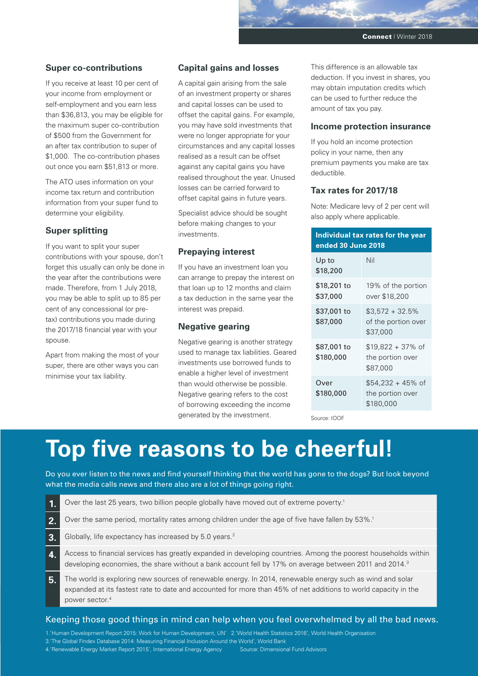#### **Super co-contributions**

If you receive at least 10 per cent of your income from employment or self-employment and you earn less than \$36,813, you may be eligible for the maximum super co-contribution of \$500 from the Government for an after tax contribution to super of \$1,000. The co-contribution phases out once you earn \$51,813 or more.

The ATO uses information on your income tax return and contribution information from your super fund to determine your eligibility.

#### **Super splitting**

If you want to split your super contributions with your spouse, don't forget this usually can only be done in the year after the contributions were made. Therefore, from 1 July 2018, you may be able to split up to 85 per cent of any concessional (or pretax) contributions you made during the 2017/18 financial year with your spouse.

Apart from making the most of your super, there are other ways you can minimise your tax liability.

#### **Capital gains and losses**

A capital gain arising from the sale of an investment property or shares and capital losses can be used to offset the capital gains. For example, you may have sold investments that were no longer appropriate for your circumstances and any capital losses realised as a result can be offset against any capital gains you have realised throughout the year. Unused losses can be carried forward to offset capital gains in future years.

Specialist advice should be sought before making changes to your investments.

#### **Prepaying interest**

If you have an investment loan you can arrange to prepay the interest on that loan up to 12 months and claim a tax deduction in the same year the interest was prepaid.

#### **Negative gearing**

Negative gearing is another strategy used to manage tax liabilities. Geared investments use borrowed funds to enable a higher level of investment than would otherwise be possible. Negative gearing refers to the cost of borrowing exceeding the income generated by the investment.

This difference is an allowable tax deduction. If you invest in shares, you may obtain imputation credits which can be used to further reduce the amount of tax you pay.

#### **Income protection insurance**

If you hold an income protection policy in your name, then any premium payments you make are tax deductible.

#### **Tax rates for 2017/18**

Note: Medicare levy of 2 per cent will also apply where applicable.

| Individual tax rates for the year<br>ended 30 June 2018 |                                                      |
|---------------------------------------------------------|------------------------------------------------------|
| Up to<br>\$18,200                                       | Nil                                                  |
| \$18,201 to<br>\$37,000                                 | 19% of the portion<br>over \$18,200                  |
| \$37,001 to<br>\$87,000                                 | $$3.572 + 32.5\%$<br>of the portion over<br>\$37,000 |
| \$87,001 to<br>\$180,000                                | $$19,822 + 37\%$ of<br>the portion over<br>\$87,000  |
| Over<br>\$180,000                                       | $$54.232 + 45\%$ of<br>the portion over<br>\$180,000 |

Source: IOOF

# **Top five reasons to be cheerful!**

Do you ever listen to the news and find yourself thinking that the world has gone to the dogs? But look beyond what the media calls news and there also are a lot of things going right.

- **1.** Over the last 25 years, two billion people globally have moved out of extreme poverty.<sup>1</sup>
- **2.** Over the same period, mortality rates among children under the age of five have fallen by 53%.<sup>1</sup>
- **3.** Globally, life expectancy has increased by 5.0 years.<sup>2</sup>
- **4.** Access to financial services has greatly expanded in developing countries. Among the poorest households within developing economies, the share without a bank account fell by 17% on average between 2011 and 2014.<sup>3</sup>
- **5.** The world is exploring new sources of renewable energy. In 2014, renewable energy such as wind and solar expanded at its fastest rate to date and accounted for more than 45% of net additions to world capacity in the power sector.4

#### Keeping those good things in mind can help when you feel overwhelmed by all the bad news.

1.'Human Development Report 2015: Work for Human Development, UN' 2.'World Health Statistics 2016', World Health Organisation 3.'The Global Findex Database 2014: Measuring Financial Inclusion Around the World', World Bank 4.'Renewable Energy Market Report 2015', International Energy Agency Source: Dimensional Fund Advisors